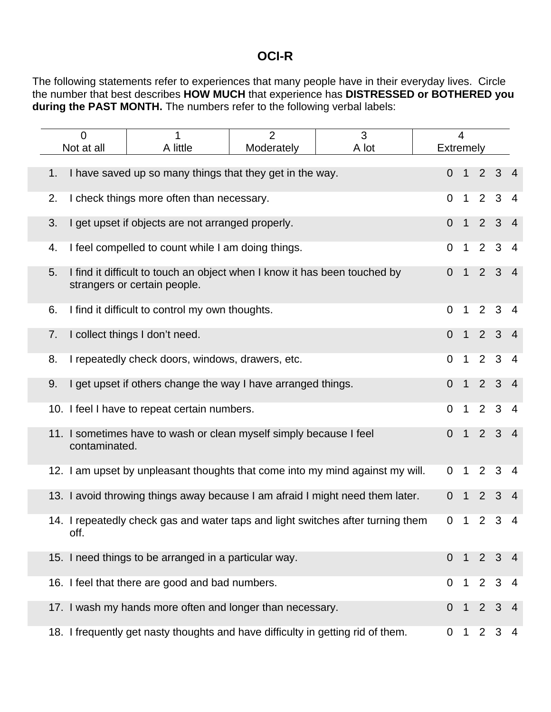## **OCI-R**

The following statements refer to experiences that many people have in their everyday lives. Circle the number that best describes **HOW MUCH** that experience has **DISTRESSED or BOTHERED you during the PAST MONTH.** The numbers refer to the following verbal labels:

|    | $\overline{2}$<br>3<br>$\Omega$<br>1          |                                                                                                           |  | $\overline{\mathcal{L}}$ |                  |                |                     |                     |                          |
|----|-----------------------------------------------|-----------------------------------------------------------------------------------------------------------|--|--------------------------|------------------|----------------|---------------------|---------------------|--------------------------|
|    | A little<br>A lot<br>Not at all<br>Moderately |                                                                                                           |  |                          | <b>Extremely</b> |                |                     |                     |                          |
|    |                                               |                                                                                                           |  |                          |                  |                |                     |                     |                          |
| 1. |                                               | I have saved up so many things that they get in the way.                                                  |  |                          | $\overline{0}$   | $\overline{1}$ | 2 <sup>1</sup>      | 3 <sup>1</sup>      | $\overline{\phantom{0}}$ |
| 2. | I check things more often than necessary.     |                                                                                                           |  |                          |                  | $\overline{1}$ | $2^{\circ}$         | $\mathbf{3}$        | $\overline{4}$           |
| 3. |                                               | I get upset if objects are not arranged properly.                                                         |  |                          | $\overline{0}$   | $\overline{1}$ |                     | $2 \quad 3$         | $\overline{4}$           |
| 4. |                                               | I feel compelled to count while I am doing things.                                                        |  |                          | $\overline{0}$   | $\overline{1}$ | $\overline{2}$      | $\mathbf{3}$        | $\overline{4}$           |
| 5. |                                               | I find it difficult to touch an object when I know it has been touched by<br>strangers or certain people. |  |                          | 0                | $\overline{1}$ |                     | $2 \quad 3$         | $\overline{4}$           |
| 6. |                                               | I find it difficult to control my own thoughts.                                                           |  |                          | $\Omega$         | $\overline{1}$ |                     | $2 \quad 3 \quad 4$ |                          |
| 7. |                                               | I collect things I don't need.                                                                            |  |                          | $\overline{0}$   | $\mathbf{1}$   | 2 <sup>1</sup>      | 3 <sup>2</sup>      | $\overline{4}$           |
| 8. |                                               | I repeatedly check doors, windows, drawers, etc.                                                          |  |                          | $\overline{0}$   | $\overline{1}$ |                     | $2 \quad 3 \quad 4$ |                          |
| 9. |                                               | I get upset if others change the way I have arranged things.                                              |  |                          | $\Omega$         | $\overline{1}$ |                     | $2 \quad 3 \quad 4$ |                          |
|    |                                               | 10. I feel I have to repeat certain numbers.                                                              |  |                          | $\overline{0}$   | $\overline{1}$ | $2^{\circ}$         | 3 <sup>1</sup>      | $\overline{4}$           |
|    | contaminated.                                 | 11. I sometimes have to wash or clean myself simply because I feel                                        |  |                          | $\overline{0}$   | $\overline{1}$ |                     | $2 \quad 3 \quad 4$ |                          |
|    |                                               | 12. I am upset by unpleasant thoughts that come into my mind against my will.                             |  |                          | $\overline{0}$   | $\mathbf 1$    |                     | $2 \t3 \t4$         |                          |
|    |                                               | 13. I avoid throwing things away because I am afraid I might need them later.                             |  |                          | $\overline{0}$   | $\mathbf 1$    | $2^{\circ}$         | 3 <sup>1</sup>      | $\overline{4}$           |
|    | off.                                          | 14. I repeatedly check gas and water taps and light switches after turning them                           |  |                          | $\mathbf{0}$     | $\overline{1}$ |                     | $2 \t3 \t4$         |                          |
|    |                                               | 15. I need things to be arranged in a particular way.                                                     |  |                          | $\Omega$         | $\mathbf{1}$   |                     | $2 \quad 3$         | $\overline{4}$           |
|    |                                               | 16. I feel that there are good and bad numbers.                                                           |  |                          | $\Omega$         |                | $1 \quad 2 \quad 3$ |                     | $\overline{4}$           |
|    |                                               | 17. I wash my hands more often and longer than necessary.                                                 |  |                          | $\Omega$         | $\overline{1}$ |                     | $2 \t3 \t4$         |                          |
|    |                                               | 18. I frequently get nasty thoughts and have difficulty in getting rid of them.                           |  |                          | 0                | $\mathbf{1}$   |                     | $2 \t3 \t4$         |                          |